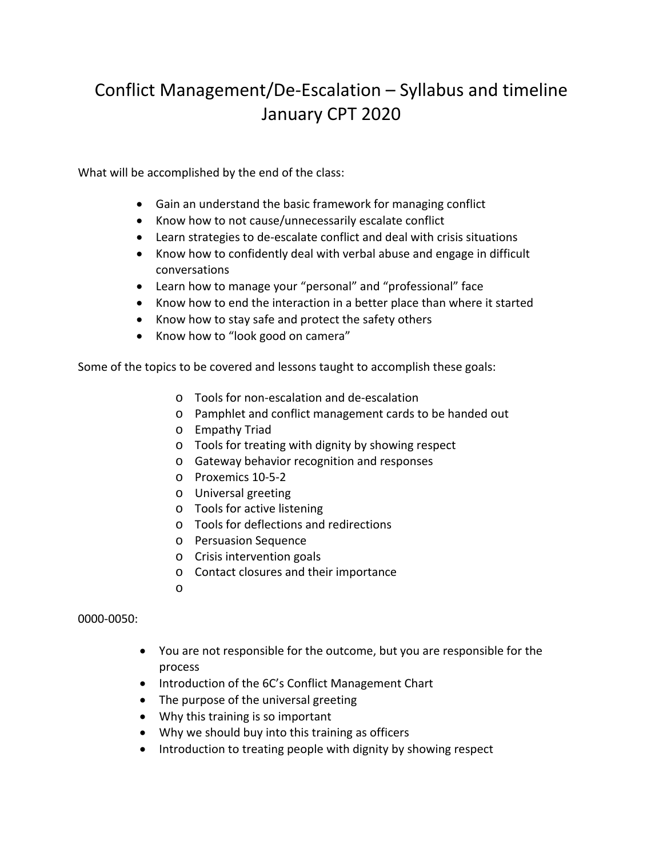# Conflict Management/De-Escalation – Syllabus and timeline January CPT 2020

What will be accomplished by the end of the class:

- Gain an understand the basic framework for managing conflict
- Know how to not cause/unnecessarily escalate conflict
- Learn strategies to de-escalate conflict and deal with crisis situations
- Know how to confidently deal with verbal abuse and engage in difficult conversations
- Learn how to manage your "personal" and "professional" face
- Know how to end the interaction in a better place than where it started
- Know how to stay safe and protect the safety others
- Know how to "look good on camera"

Some of the topics to be covered and lessons taught to accomplish these goals:

- o Tools for non-escalation and de-escalation
- o Pamphlet and conflict management cards to be handed out
- o Empathy Triad
- o Tools for treating with dignity by showing respect
- o Gateway behavior recognition and responses
- o Proxemics 10-5-2
- o Universal greeting
- o Tools for active listening
- o Tools for deflections and redirections
- o Persuasion Sequence
- o Crisis intervention goals
- o Contact closures and their importance
- o

0000-0050:

- You are not responsible for the outcome, but you are responsible for the process
- Introduction of the 6C's Conflict Management Chart
- The purpose of the universal greeting
- Why this training is so important
- Why we should buy into this training as officers
- Introduction to treating people with dignity by showing respect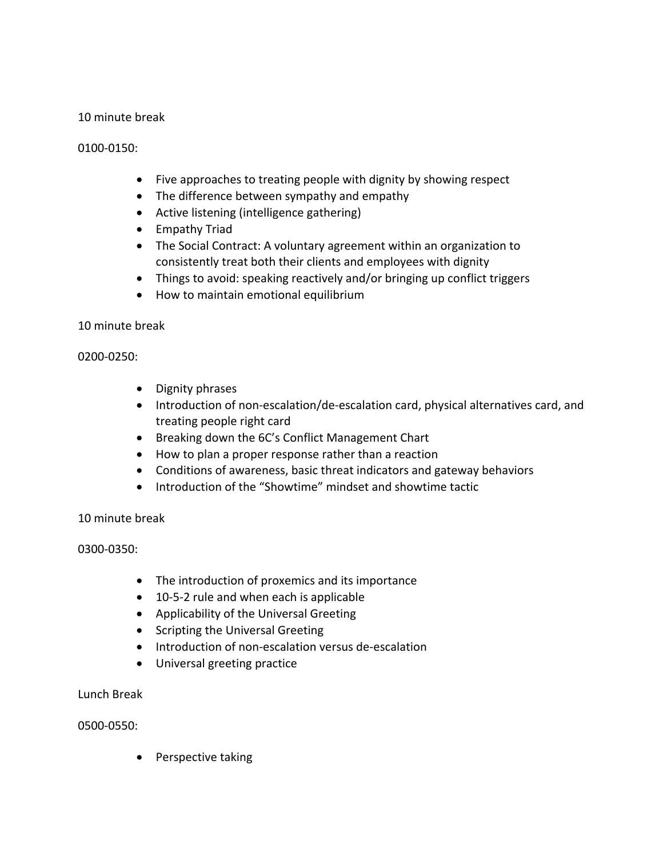## 10 minute break

### 0100-0150:

- Five approaches to treating people with dignity by showing respect
- The difference between sympathy and empathy
- Active listening (intelligence gathering)
- Empathy Triad
- The Social Contract: A voluntary agreement within an organization to consistently treat both their clients and employees with dignity
- Things to avoid: speaking reactively and/or bringing up conflict triggers
- How to maintain emotional equilibrium

#### 10 minute break

#### 0200-0250:

- Dignity phrases
- Introduction of non-escalation/de-escalation card, physical alternatives card, and treating people right card
- Breaking down the 6C's Conflict Management Chart
- How to plan a proper response rather than a reaction
- Conditions of awareness, basic threat indicators and gateway behaviors
- Introduction of the "Showtime" mindset and showtime tactic

#### 10 minute break

#### 0300-0350:

- The introduction of proxemics and its importance
- 10-5-2 rule and when each is applicable
- Applicability of the Universal Greeting
- Scripting the Universal Greeting
- Introduction of non-escalation versus de-escalation
- Universal greeting practice

#### Lunch Break

#### 0500-0550:

• Perspective taking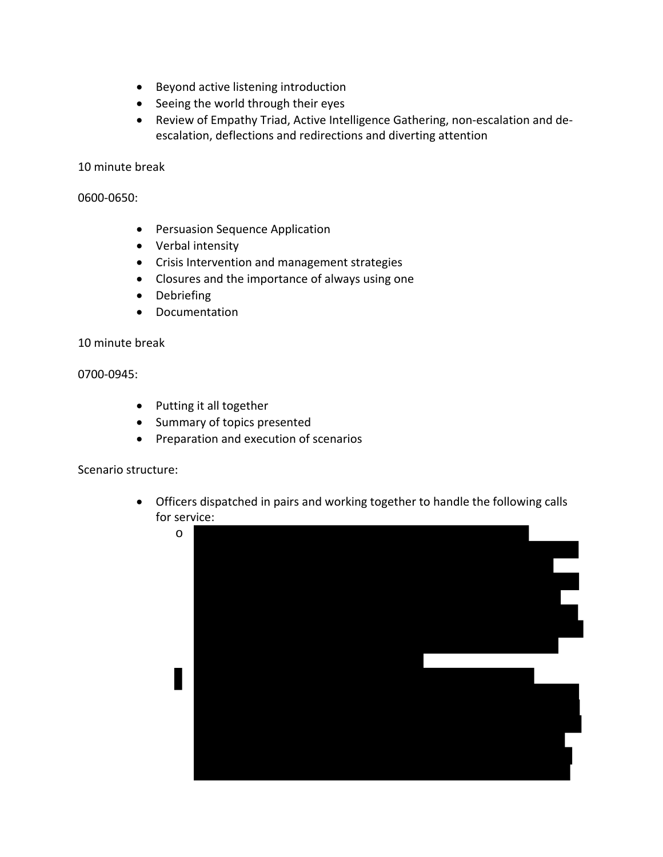- Beyond active listening introduction
- Seeing the world through their eyes
- Review of Empathy Triad, Active Intelligence Gathering, non-escalation and deescalation, deflections and redirections and diverting attention

10 minute break

0600-0650:

- Persuasion Sequence Application
- Verbal intensity
- Crisis Intervention and management strategies
- Closures and the importance of always using one
- Debriefing
- Documentation

10 minute break

0700-0945:

- Putting it all together
- Summary of topics presented
- Preparation and execution of scenarios

Scenario structure:

• Officers dispatched in pairs and working together to handle the following calls for service: